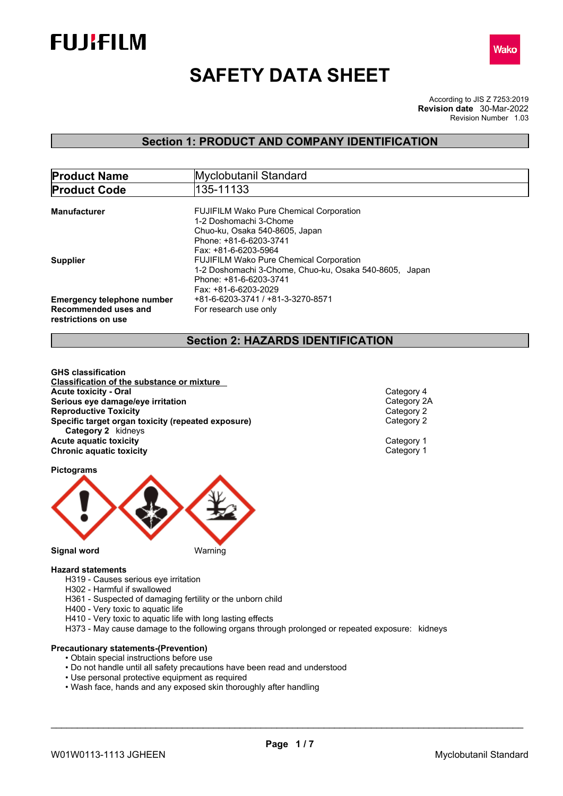



# **SAFETY DATA SHEET**

According to JIS Z 7253:2019 Revision Number 1.03 **Revision date** 30-Mar-2022

## **Section 1: PRODUCT AND COMPANY IDENTIFICATION**

| <b>Product Name</b>                         | Myclobutanil Standard                                                                                    |  |  |
|---------------------------------------------|----------------------------------------------------------------------------------------------------------|--|--|
| <b>Product Code</b>                         | 135-11133                                                                                                |  |  |
| <b>Manufacturer</b>                         | <b>FUJIFILM Wako Pure Chemical Corporation</b>                                                           |  |  |
|                                             | 1-2 Doshomachi 3-Chome<br>Chuo-ku, Osaka 540-8605, Japan                                                 |  |  |
|                                             | Phone: +81-6-6203-3741<br>Fax: +81-6-6203-5964                                                           |  |  |
| <b>Supplier</b>                             | <b>FUJIFILM Wako Pure Chemical Corporation</b><br>1-2 Doshomachi 3-Chome, Chuo-ku, Osaka 540-8605, Japan |  |  |
|                                             | Phone: +81-6-6203-3741<br>Fax: +81-6-6203-2029                                                           |  |  |
| <b>Emergency telephone number</b>           | +81-6-6203-3741 / +81-3-3270-8571                                                                        |  |  |
| Recommended uses and<br>restrictions on use | For research use only                                                                                    |  |  |

## **Section 2: HAZARDS IDENTIFICATION**

**GHS classification Classification of the substance or mixture Acute toxicity - Oral Acute toxicity** - Oral<br> **Serious** eve damage/eve irritation<br>
Category 2A **Serious eye damage/eye irritation**<br> **Reproductive Toxicity**<br>
Category 2 **Reproductive Toxicity**<br> **Specific target organ toxicity (repeated exposure)**<br>
Category 2 **Specific target organ toxicity (repeated exposure) Category 2** kidneys **Acute aquatic toxicity** Category 1 **Chronic aquatic toxicity** Chronic **aquatic toxicity** Category 1

**Pictograms**



- **Hazard statements**
	- H319 Causes serious eye irritation H302 - Harmful if swallowed
	- H361 Suspected of damaging fertility or the unborn child
	- H400 Very toxic to aquatic life
	- H410 Very toxic to aquatic life with long lasting effects
	- H373 May cause damage to the following organs through prolonged or repeated exposure: kidneys

#### **Precautionary statements-(Prevention)**

- Obtain special instructions before use
- Do not handle until all safety precautions have been read and understood
- Use personal protective equipment as required
- Wash face, hands and any exposed skin thoroughly after handling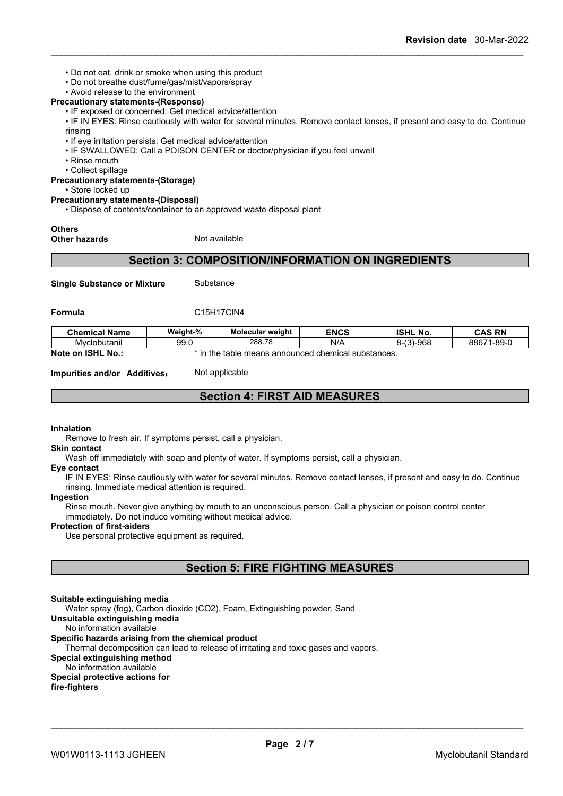- Do not eat, drink or smoke when using this product
- Do not breathe dust/fume/gas/mist/vapors/spray
- Avoid release to the environment

#### **Precautionary statements-(Response)**

• IF exposed or concerned: Get medical advice/attention

• IF IN EYES: Rinse cautiously with water for several minutes. Remove contact lenses, if present and easy to do. Continue rinsing

- If eye irritation persists: Get medical advice/attention
- IF SWALLOWED: Call a POISON CENTER or doctor/physician if you feel unwell
- Rinse mouth
- Collect spillage

#### **Precautionary statements-(Storage)**

• Store locked up

#### **Precautionary statements-(Disposal)**

• Dispose of contents/container to an approved waste disposal plant

## **Others**

**Other hazards** Not available

### **Section 3: COMPOSITION/INFORMATION ON INGREDIENTS**

**Single Substance or Mixture** Substance

**Formula** C15H17ClN4

| <b>Chemical Name</b>   | Weight-%                                                 | <b>Molecular weight</b> | <b>ENCS</b> | <b>ISHL No.</b>                | <b>CAS RN</b>   |
|------------------------|----------------------------------------------------------|-------------------------|-------------|--------------------------------|-----------------|
| Mvclobutanil           | 99.0                                                     | 288.78                  | N/A         | 3)-968<br>$\sqrt{2}$<br>. … ال | l-89-0<br>88671 |
| Note on ISHL<br>. No.: | e means announced chemical substances.<br>the ו<br>table |                         |             |                                |                 |

**Impurities and/or Additives:** Not applicable

## **Section 4: FIRST AID MEASURES**

#### **Inhalation**

Remove to fresh air. If symptoms persist, call a physician.

**Skin contact**

Wash off immediately with soap and plenty of water. If symptoms persist, call a physician.

#### **Eye contact**

IF IN EYES: Rinse cautiously with water for several minutes. Remove contact lenses, if present and easy to do. Continue rinsing. Immediate medical attention is required.

#### **Ingestion**

Rinse mouth. Never give anything by mouth to an unconscious person. Call a physician or poison control center immediately. Do not induce vomiting without medical advice.

#### **Protection of first-aiders**

Use personal protective equipment as required.

## **Section 5: FIRE FIGHTING MEASURES**

#### **Suitable extinguishing media**

Water spray (fog), Carbon dioxide (CO2), Foam, Extinguishing powder, Sand

## **Unsuitable extinguishing media**

No information available

#### **Specific hazards arising from the chemical product**

Thermal decomposition can lead to release of irritating and toxic gases and vapors.

#### **Special extinguishing method**

No information available

#### **Special protective actions for**

**fire-fighters**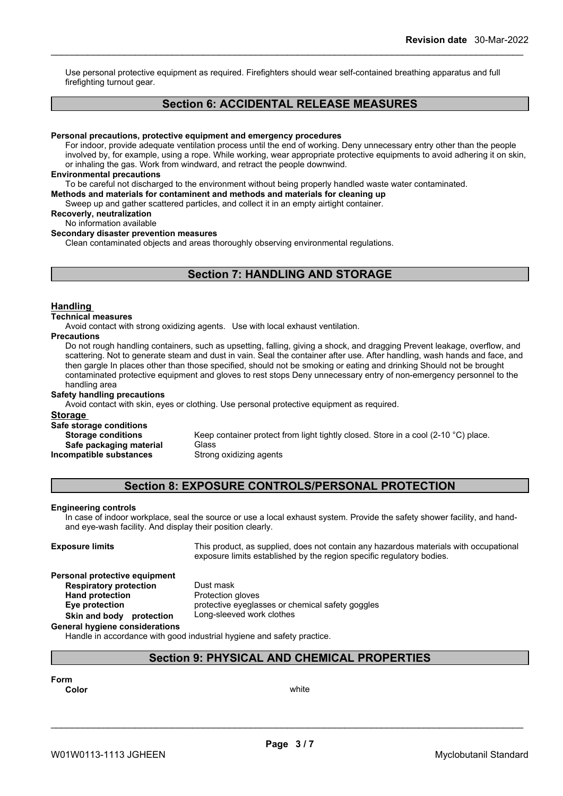Use personal protective equipment as required.Firefighters should wear self-contained breathing apparatus and full firefighting turnout gear.

## **Section 6: ACCIDENTAL RELEASE MEASURES**

#### **Personal precautions, protective equipment and emergency procedures**

For indoor, provide adequate ventilation process until the end of working. Deny unnecessary entry other than the people involved by, for example, using a rope. While working, wear appropriate protective equipments to avoid adhering it on skin, or inhaling the gas. Work from windward, and retract the people downwind.

#### **Environmental precautions**

To be careful not discharged to the environment without being properly handled waste water contaminated.

**Methods and materials for contaminent and methods and materials for cleaning up**

Sweep up and gather scattered particles, and collect it in an empty airtight container.

**Recoverly, neutralization**

## No information available

**Secondary disaster prevention measures**

Clean contaminated objects and areas thoroughly observing environmental regulations.

## **Section 7: HANDLING AND STORAGE**

#### **Handling**

#### **Technical measures**

Avoid contact with strong oxidizing agents. Use with local exhaust ventilation.

#### **Precautions**

Do not rough handling containers, such as upsetting, falling, giving a shock, and dragging Prevent leakage, overflow, and scattering. Not to generate steam and dust in vain. Seal the container after use. After handling, wash hands and face, and then gargle In places other than those specified, should not be smoking or eating and drinking Should not be brought contaminated protective equipment and gloves to rest stops Deny unnecessary entry of non-emergency personnel to the handling area

#### **Safety handling precautions**

Avoid contact with skin, eyes or clothing. Use personal protective equipment as required.

### **Storage**

**Safe storage conditions**

**Incompatible substances** 

**Storage conditions** Keep container protect from light tightly closed. Store in a cool (2-10 °C) place. **Safe packaging material** Glass<br>**ompatible substances** Strong oxidizing agents

## **Section 8: EXPOSURE CONTROLS/PERSONAL PROTECTION**

#### **Engineering controls**

In case of indoor workplace, seal the source or use a local exhaust system. Provide the safety shower facility, and handand eye-wash facility. And display their position clearly.

**Exposure limits** This product, as supplied, does not contain any hazardous materials with occupational exposure limits established by the region specific regulatory bodies.

#### **Personal protective equipment**

**Respiratory protection** Dust mask<br> **Hand protection** Protection

**Protection gloves Eye protection** protective eyeglasses or chemical safety goggles **Skin and body protection** Long-sleeved work clothes

## **General hygiene considerations**

Handle in accordance with good industrial hygiene and safety practice.

## **Section 9: PHYSICAL AND CHEMICAL PROPERTIES**

**Form**

**Color** white the color of the color white the color of the color of the color of the color of the color of the color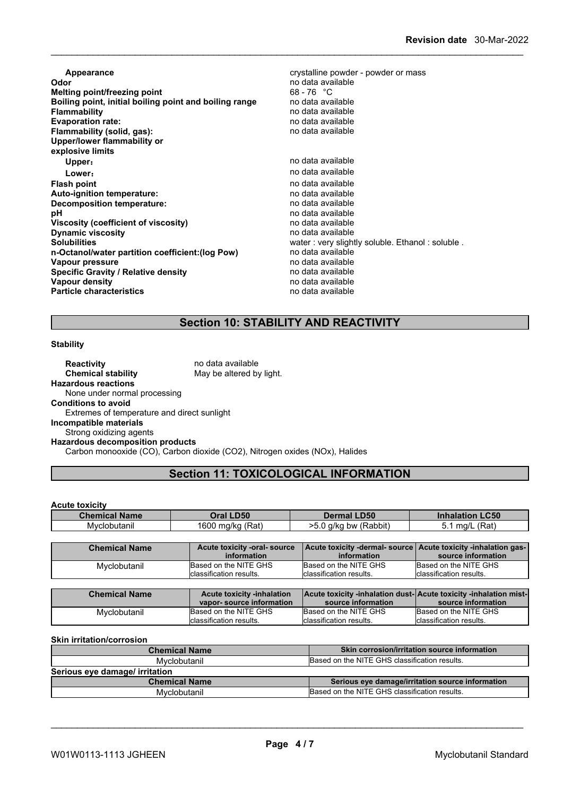| Appearance<br>Odor<br><b>Melting point/freezing point</b><br>Boiling point, initial boiling point and boiling range<br><b>Flammability</b><br><b>Evaporation rate:</b><br>Flammability (solid, gas):<br>Upper/lower flammability or<br>explosive limits | crystalline powder - powder or mass<br>no data available<br>$68 - 76$ °C<br>no data available<br>no data available<br>no data available<br>no data available |
|---------------------------------------------------------------------------------------------------------------------------------------------------------------------------------------------------------------------------------------------------------|--------------------------------------------------------------------------------------------------------------------------------------------------------------|
| Upper:                                                                                                                                                                                                                                                  | no data available                                                                                                                                            |
| Lower:                                                                                                                                                                                                                                                  | no data available                                                                                                                                            |
| <b>Flash point</b>                                                                                                                                                                                                                                      | no data available                                                                                                                                            |
| Auto-ignition temperature:                                                                                                                                                                                                                              | no data available                                                                                                                                            |
| Decomposition temperature:                                                                                                                                                                                                                              | no data available                                                                                                                                            |
| рH                                                                                                                                                                                                                                                      | no data available                                                                                                                                            |
| Viscosity (coefficient of viscosity)                                                                                                                                                                                                                    | no data available                                                                                                                                            |
| <b>Dynamic viscosity</b>                                                                                                                                                                                                                                | no data available                                                                                                                                            |
| <b>Solubilities</b>                                                                                                                                                                                                                                     | water: very slightly soluble. Ethanol: soluble.                                                                                                              |
| n-Octanol/water partition coefficient: (log Pow)                                                                                                                                                                                                        | no data available                                                                                                                                            |
| Vapour pressure                                                                                                                                                                                                                                         | no data available                                                                                                                                            |
| <b>Specific Gravity / Relative density</b>                                                                                                                                                                                                              | no data available                                                                                                                                            |
| Vapour density                                                                                                                                                                                                                                          | no data available                                                                                                                                            |
| <b>Particle characteristics</b>                                                                                                                                                                                                                         | no data available                                                                                                                                            |

## **Section 10: STABILITY AND REACTIVITY**

#### **Stability**

**Reactivity no data available Chemical stability** May be altered by light. **Hazardous reactions** None under normal processing **Conditions to avoid** Extremes of temperature and direct sunlight **Incompatible materials** Strong oxidizing agents **Hazardous decomposition products** Carbon monooxide (CO), Carbon dioxide (CO2), Nitrogen oxides (NOx), Halides

## **Section 11: TOXICOLOGICAL INFORMATION**

#### **Acute toxicity**

| <b>Chemical Name</b> | <b>D50</b><br>)ral     | <b>_D50</b><br>Dermal                                       | C50                 |
|----------------------|------------------------|-------------------------------------------------------------|---------------------|
| Mvclobutanıl         | (Rat`<br>1600<br>ma/kc | $-$<br>(Rabbit)<br>a/kc<br>hu<br>~~<br>י טנ<br>- J.U<br>. . | 'Rat,<br>ma/l<br>J. |

| <b>Chemical Name</b> | Acute toxicity -oral-source | Acute toxicity -dermal- source   Acute toxicity -inhalation gas- |                          |
|----------------------|-----------------------------|------------------------------------------------------------------|--------------------------|
|                      | information                 | information                                                      | source information       |
| Mvclobutanil         | Based on the NITE GHS       | Based on the NITE GHS                                            | Based on the NITE GHS    |
|                      | Iclassification results.    | Iclassification results.                                         | Iclassification results. |

| <b>Chemical Name</b> | <b>Acute toxicity -inhalation</b> | <b>Acute toxicity -inhalation dust-Acute toxicity -inhalation mist-</b> |                          |
|----------------------|-----------------------------------|-------------------------------------------------------------------------|--------------------------|
|                      | vapor-source information          | source information                                                      | source information       |
| Mvclobutanil         | Based on the NITE GHS             | Based on the NITE GHS                                                   | Based on the NITE GHS    |
|                      | Iclassification results.          | Iclassification results.                                                | Iclassification results. |

#### **Skin irritation/corrosion**

| <b>Chemical Name</b>           | Skin corrosion/irritation source information     |
|--------------------------------|--------------------------------------------------|
| Mvclobutanil                   | Based on the NITE GHS classification results.    |
| Serious eye damage/ irritation |                                                  |
| <b>Chemical Name</b>           | Serious eye damage/irritation source information |
| Mvclobutanil                   | Based on the NITE GHS classification results.    |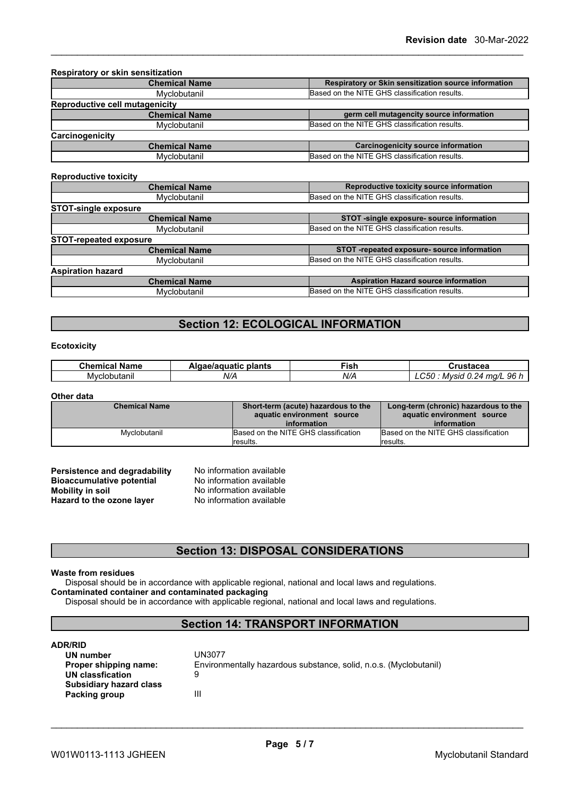| <b>Respiratory or skin sensitization</b> |                                                      |
|------------------------------------------|------------------------------------------------------|
| <b>Chemical Name</b>                     | Respiratory or Skin sensitization source information |
| Myclobutanil                             | Based on the NITE GHS classification results.        |
| Reproductive cell mutagenicity           |                                                      |
| <b>Chemical Name</b>                     | germ cell mutagencity source information             |
| Myclobutanil                             | Based on the NITE GHS classification results.        |
| Carcinogenicity                          |                                                      |
| <b>Chemical Name</b>                     | <b>Carcinogenicity source information</b>            |
| Myclobutanil                             | Based on the NITE GHS classification results.        |

#### **Reproductive toxicity**

| <b>Chemical Name</b>          | Reproductive toxicity source information      |
|-------------------------------|-----------------------------------------------|
| Myclobutanil                  | Based on the NITE GHS classification results. |
| <b>STOT-single exposure</b>   |                                               |
| <b>Chemical Name</b>          | STOT -single exposure- source information     |
| Myclobutanil                  | Based on the NITE GHS classification results. |
| <b>STOT-repeated exposure</b> |                                               |
| <b>Chemical Name</b>          | STOT -repeated exposure- source information   |
| Myclobutanil                  | Based on the NITE GHS classification results. |
| <b>Aspiration hazard</b>      |                                               |
| <b>Chemical Name</b>          | <b>Aspiration Hazard source information</b>   |
| Myclobutanil                  | Based on the NITE GHS classification results. |
|                               |                                               |

## **Section 12: ECOLOGICAL INFORMATION**

#### **Ecotoxicity**

| - -<br>Chemical<br>Name | plants<br>Algae/aguatic | -<br>וכו־ | $-$<br>змаче                                               |
|-------------------------|-------------------------|-----------|------------------------------------------------------------|
| Myclobutanil            | N/A                     | N/A       | 961<br>-<br>ma/l<br><br>Mvsid<br>- 30 -<br>-24<br><b>A</b> |

#### **Other data**

| <b>Chemical Name</b> | Short-term (acute) hazardous to the<br>aquatic environment source | Long-term (chronic) hazardous to the<br>aquatic environment source |
|----------------------|-------------------------------------------------------------------|--------------------------------------------------------------------|
|                      | information                                                       | information                                                        |
| Mvclobutanil         | Based on the NITE GHS classification                              | Based on the NITE GHS classification                               |
|                      | lresults.                                                         | <i><b>Iresults.</b></i>                                            |

| Persistence and degradability    | No information available |
|----------------------------------|--------------------------|
| <b>Bioaccumulative potential</b> | No information available |
| Mobility in soil                 | No information available |
| Hazard to the ozone layer        | No information available |

## **Section 13: DISPOSAL CONSIDERATIONS**

#### **Waste from residues**

Disposal should be in accordance with applicable regional, national and local laws and regulations. **Contaminated container and contaminated packaging**

Disposal should be in accordance with applicable regional, national and local laws and regulations.

## **Section 14: TRANSPORT INFORMATION**

#### **ADR/RID**

| UN number                      | UN3077                                                            |  |
|--------------------------------|-------------------------------------------------------------------|--|
| Proper shipping name:          | Environmentally hazardous substance, solid, n.o.s. (Myclobutanil) |  |
| UN classfication               | 9                                                                 |  |
| <b>Subsidiary hazard class</b> |                                                                   |  |
| Packing group                  | Ш                                                                 |  |
|                                |                                                                   |  |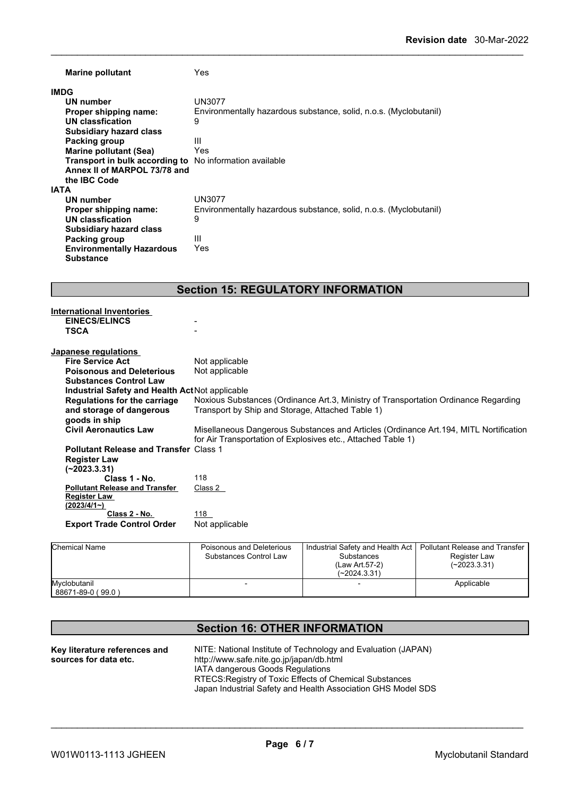| <b>Marine pollutant</b>                                        | Yes                                                               |  |
|----------------------------------------------------------------|-------------------------------------------------------------------|--|
| <b>IMDG</b>                                                    |                                                                   |  |
| UN number                                                      | UN3077                                                            |  |
| Proper shipping name:                                          | Environmentally hazardous substance, solid, n.o.s. (Myclobutanil) |  |
| UN classfication                                               | 9                                                                 |  |
| <b>Subsidiary hazard class</b>                                 |                                                                   |  |
| <b>Packing group</b>                                           | Ш                                                                 |  |
| Marine pollutant (Sea)                                         | Yes                                                               |  |
| <b>Transport in bulk according to</b> No information available |                                                                   |  |
| Annex II of MARPOL 73/78 and                                   |                                                                   |  |
| the <b>IBC</b> Code                                            |                                                                   |  |
| <b>IATA</b>                                                    |                                                                   |  |
| UN number                                                      | UN3077                                                            |  |
| Proper shipping name:                                          | Environmentally hazardous substance, solid, n.o.s. (Myclobutanil) |  |
| UN classfication                                               | 9                                                                 |  |
| <b>Subsidiary hazard class</b>                                 |                                                                   |  |
| Packing group                                                  | Ш                                                                 |  |
| <b>Environmentally Hazardous</b>                               | Yes                                                               |  |
| <b>Substance</b>                                               |                                                                   |  |

## **Section 15: REGULATORY INFORMATION**

| <b>International Inventories</b>                |                                                                                        |
|-------------------------------------------------|----------------------------------------------------------------------------------------|
| <b>EINECS/ELINCS</b>                            |                                                                                        |
| <b>TSCA</b>                                     |                                                                                        |
|                                                 |                                                                                        |
| Japanese regulations                            |                                                                                        |
| <b>Fire Service Act</b>                         | Not applicable                                                                         |
| <b>Poisonous and Deleterious</b>                | Not applicable                                                                         |
| <b>Substances Control Law</b>                   |                                                                                        |
| Industrial Safety and Health Act Not applicable |                                                                                        |
| Regulations for the carriage                    | Noxious Substances (Ordinance Art.3, Ministry of Transportation Ordinance Regarding    |
| and storage of dangerous                        | Transport by Ship and Storage, Attached Table 1)                                       |
| goods in ship                                   |                                                                                        |
| <b>Civil Aeronautics Law</b>                    | Misellaneous Dangerous Substances and Articles (Ordinance Art. 194, MITL Nortification |
|                                                 | for Air Transportation of Explosives etc., Attached Table 1)                           |
| <b>Pollutant Release and Transfer Class 1</b>   |                                                                                        |
| <b>Register Law</b>                             |                                                                                        |
| $(-2023.3.31)$                                  |                                                                                        |
| Class 1 - No.                                   | 118                                                                                    |
| <b>Pollutant Release and Transfer</b>           | Class 2                                                                                |
| <b>Register Law</b>                             |                                                                                        |
| $(2023/4/1-)$                                   |                                                                                        |
| Class 2 - No.                                   | 118                                                                                    |
| <b>Export Trade Control Order</b>               | Not applicable                                                                         |
|                                                 |                                                                                        |

| Chemical Name                     | Poisonous and Deleterious<br>Substances Control Law | Substances<br>(Law Art.57-2)<br>$(-2024.3.31)$ | Industrial Safety and Health Act   Pollutant Release and Transfer<br>Register Law<br>$(-2023.3.31)$ |
|-----------------------------------|-----------------------------------------------------|------------------------------------------------|-----------------------------------------------------------------------------------------------------|
| Mvclobutanil<br>88671-89-0 (99.0) |                                                     |                                                | Applicable                                                                                          |

## **Section 16: OTHER INFORMATION**

| Key literature references and | NITE: National Institute of Technology and Evaluation (JAPAN) |
|-------------------------------|---------------------------------------------------------------|
| sources for data etc.         | http://www.safe.nite.go.jp/japan/db.html                      |
|                               | IATA dangerous Goods Regulations                              |
|                               | RTECS: Registry of Toxic Effects of Chemical Substances       |
|                               | Japan Industrial Safety and Health Association GHS Model SDS  |